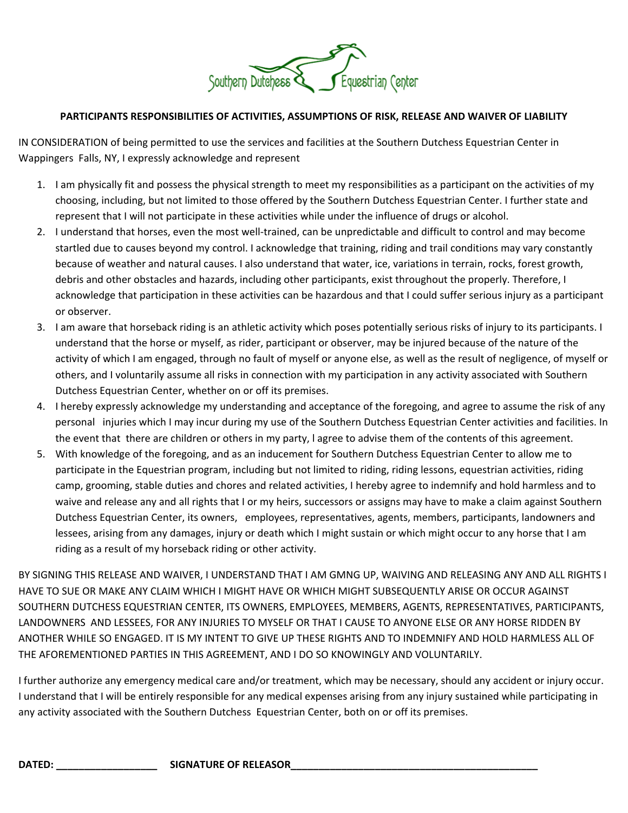

## **PARTICIPANTS RESPONSIBILITIES OF ACTIVITIES, ASSUMPTIONS OF RISK, RELEASE AND WAIVER OF LIABILITY**

IN CONSIDERATION of being permitted to use the services and facilities at the Southern Dutchess Equestrian Center in Wappingers Falls, NY, I expressly acknowledge and represent

- 1. I am physically fit and possess the physical strength to meet my responsibilities as a participant on the activities of my choosing, including, but not limited to those offered by the Southern Dutchess Equestrian Center. I further state and represent that I will not participate in these activities while under the influence of drugs or alcohol.
- 2. I understand that horses, even the most well-trained, can be unpredictable and difficult to control and may become startled due to causes beyond my control. I acknowledge that training, riding and trail conditions may vary constantly because of weather and natural causes. I also understand that water, ice, variations in terrain, rocks, forest growth, debris and other obstacles and hazards, including other participants, exist throughout the properly. Therefore, I acknowledge that participation in these activities can be hazardous and that I could suffer serious injury as a participant or observer.
- 3. I am aware that horseback riding is an athletic activity which poses potentially serious risks of injury to its participants. I understand that the horse or myself, as rider, participant or observer, may be injured because of the nature of the activity of which I am engaged, through no fault of myself or anyone else, as well as the result of negligence, of myself or others, and I voluntarily assume all risks in connection with my participation in any activity associated with Southern Dutchess Equestrian Center, whether on or off its premises.
- 4. I hereby expressly acknowledge my understanding and acceptance of the foregoing, and agree to assume the risk of any personal injuries which I may incur during my use of the Southern Dutchess Equestrian Center activities and facilities. In the event that there are children or others in my party, l agree to advise them of the contents of this agreement.
- 5. With knowledge of the foregoing, and as an inducement for Southern Dutchess Equestrian Center to allow me to participate in the Equestrian program, including but not limited to riding, riding lessons, equestrian activities, riding camp, grooming, stable duties and chores and related activities, I hereby agree to indemnify and hold harmless and to waive and release any and all rights that I or my heirs, successors or assigns may have to make a claim against Southern Dutchess Equestrian Center, its owners, employees, representatives, agents, members, participants, landowners and lessees, arising from any damages, injury or death which I might sustain or which might occur to any horse that I am riding as a result of my horseback riding or other activity.

BY SIGNING THIS RELEASE AND WAIVER, I UNDERSTAND THAT I AM GMNG UP, WAIVING AND RELEASING ANY AND ALL RIGHTS I HAVE TO SUE OR MAKE ANY CLAIM WHICH I MIGHT HAVE OR WHICH MIGHT SUBSEQUENTLY ARISE OR OCCUR AGAINST SOUTHERN DUTCHESS EQUESTRIAN CENTER, ITS OWNERS, EMPLOYEES, MEMBERS, AGENTS, REPRESENTATIVES, PARTICIPANTS, LANDOWNERS AND LESSEES, FOR ANY INJURIES TO MYSELF OR THAT I CAUSE TO ANYONE ELSE OR ANY HORSE RIDDEN BY ANOTHER WHILE SO ENGAGED. IT IS MY INTENT TO GIVE UP THESE RIGHTS AND TO INDEMNIFY AND HOLD HARMLESS ALL OF THE AFOREMENTIONED PARTIES IN THIS AGREEMENT, AND I DO SO KNOWINGLY AND VOLUNTARILY.

I further authorize any emergency medical care and/or treatment, which may be necessary, should any accident or injury occur. I understand that I will be entirely responsible for any medical expenses arising from any injury sustained while participating in any activity associated with the Southern Dutchess Equestrian Center, both on or off its premises.

**DATED: \_\_\_\_\_\_\_\_\_\_\_\_\_\_\_\_\_\_ SIGNATURE OF RELEASOR\_\_\_\_\_\_\_\_\_\_\_\_\_\_\_\_\_\_\_\_\_\_\_\_\_\_\_\_\_\_\_\_\_\_\_\_\_\_\_\_\_\_\_\_**